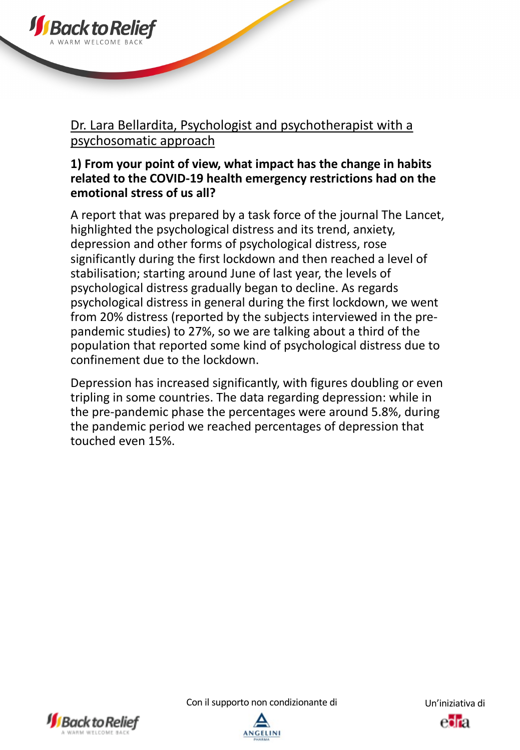

## Dr. Lara Bellardita, Psychologist and psychotherapist with a psychosomatic approach

### **1) From your point of view, what impact has the change in habits related to the COVID-19 health emergency restrictions had on the emotional stress of us all?**

A report that was prepared by a task force of the journal The Lancet, highlighted the psychological distress and its trend, anxiety, depression and other forms of psychological distress, rose significantly during the first lockdown and then reached a level of stabilisation; starting around June of last year, the levels of psychological distress gradually began to decline. As regards psychological distress in general during the first lockdown, we went from 20% distress (reported by the subjects interviewed in the prepandemic studies) to 27%, so we are talking about a third of the population that reported some kind of psychological distress due to confinement due to the lockdown.

Depression has increased significantly, with figures doubling or even tripling in some countries. The data regarding depression: while in the pre-pandemic phase the percentages were around 5.8%, during the pandemic period we reached percentages of depression that touched even 15%.



Con il supporto non condizionante di Un'iniziativa di



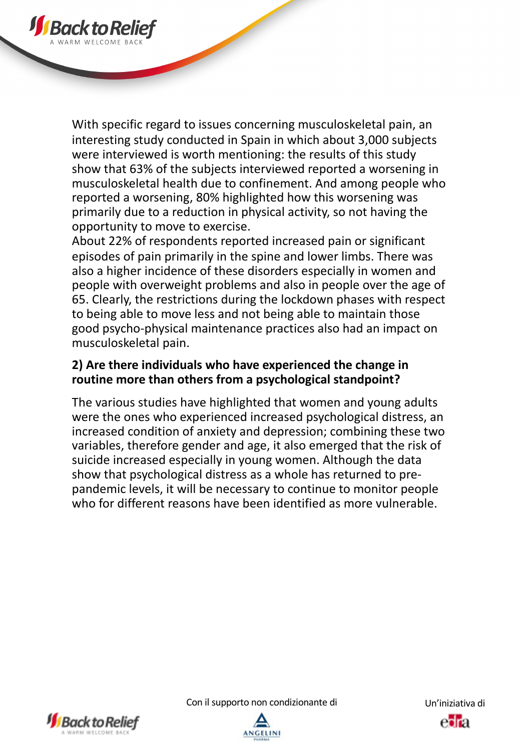

About 22% of respondents reported increased pain or significant episodes of pain primarily in the spine and lower limbs. There was also a higher incidence of these disorders especially in women and people with overweight problems and also in people over the age of 65. Clearly, the restrictions during the lockdown phases with respect to being able to move less and not being able to maintain those good psycho-physical maintenance practices also had an impact on musculoskeletal pain.

### **2) Are there individuals who have experienced the change in routine more than others from a psychological standpoint?**

The various studies have highlighted that women and young adults were the ones who experienced increased psychological distress, an increased condition of anxiety and depression; combining these two variables, therefore gender and age, it also emerged that the risk of suicide increased especially in young women. Although the data show that psychological distress as a whole has returned to prepandemic levels, it will be necessary to continue to monitor people who for different reasons have been identified as more vulnerable.



**J** Back to R

Con il supporto non condizionante di Un'iniziativa di

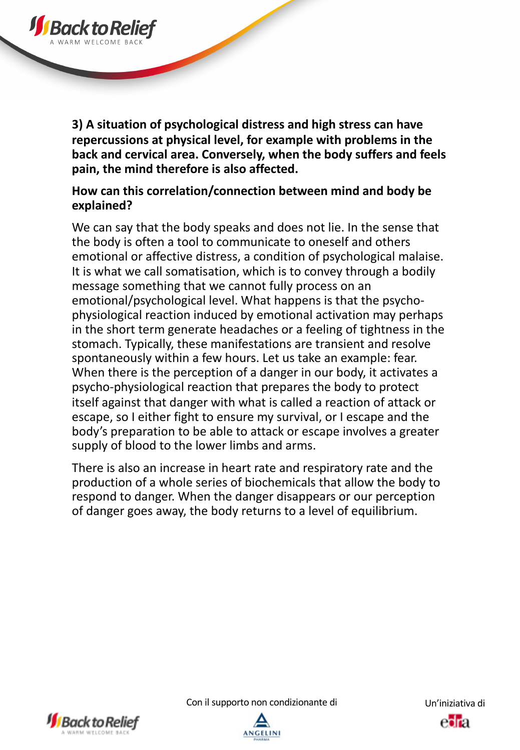

**3) A situation of psychological distress and high stress can have repercussions at physical level, for example with problems in the back and cervical area. Conversely, when the body suffers and feels pain, the mind therefore is also affected.** 

### **How can this correlation/connection between mind and body be explained?**

We can say that the body speaks and does not lie. In the sense that the body is often a tool to communicate to oneself and others emotional or affective distress, a condition of psychological malaise. It is what we call somatisation, which is to convey through a bodily message something that we cannot fully process on an emotional/psychological level. What happens is that the psychophysiological reaction induced by emotional activation may perhaps in the short term generate headaches or a feeling of tightness in the stomach. Typically, these manifestations are transient and resolve spontaneously within a few hours. Let us take an example: fear. When there is the perception of a danger in our body, it activates a psycho-physiological reaction that prepares the body to protect itself against that danger with what is called a reaction of attack or escape, so I either fight to ensure my survival, or I escape and the body's preparation to be able to attack or escape involves a greater supply of blood to the lower limbs and arms.

There is also an increase in heart rate and respiratory rate and the production of a whole series of biochemicals that allow the body to respond to danger. When the danger disappears or our perception of danger goes away, the body returns to a level of equilibrium.



Con il supporto non condizionante di Un'iniziativa di

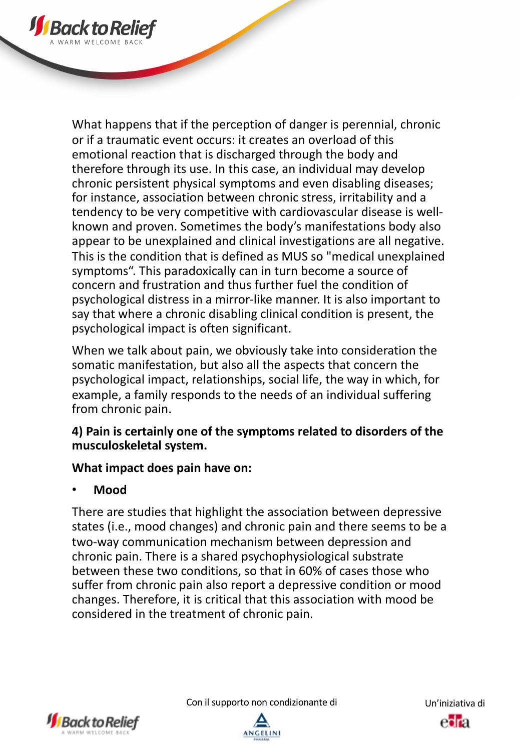

When we talk about pain, we obviously take into consideration the somatic manifestation, but also all the aspects that concern the psychological impact, relationships, social life, the way in which, for example, a family responds to the needs of an individual suffering from chronic pain.

## **4) Pain is certainly one of the symptoms related to disorders of the musculoskeletal system.**

## **What impact does pain have on:**

# • **Mood**

**JSBacktoR** 

There are studies that highlight the association between depressive states (i.e., mood changes) and chronic pain and there seems to be a two-way communication mechanism between depression and chronic pain. There is a shared psychophysiological substrate between these two conditions, so that in 60% of cases those who suffer from chronic pain also report a depressive condition or mood changes. Therefore, it is critical that this association with mood be considered in the treatment of chronic pain.



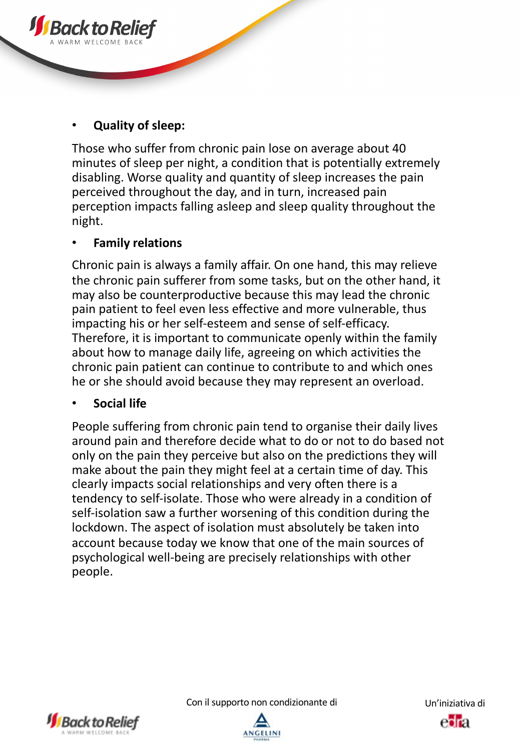## • **Quality of sleep:**

Those who suffer from chronic pain lose on average about 40 minutes of sleep per night, a condition that is potentially extremely disabling. Worse quality and quantity of sleep increases the pain perceived throughout the day, and in turn, increased pain perception impacts falling asleep and sleep quality throughout the night.

### • **Family relations**

Chronic pain is always a family affair. On one hand, this may relieve the chronic pain sufferer from some tasks, but on the other hand, it may also be counterproductive because this may lead the chronic pain patient to feel even less effective and more vulnerable, thus impacting his or her self-esteem and sense of self-efficacy. Therefore, it is important to communicate openly within the family about how to manage daily life, agreeing on which activities the chronic pain patient can continue to contribute to and which ones he or she should avoid because they may represent an overload.

### • **Social life**

People suffering from chronic pain tend to organise their daily lives around pain and therefore decide what to do or not to do based not only on the pain they perceive but also on the predictions they will make about the pain they might feel at a certain time of day. This clearly impacts social relationships and very often there is a tendency to self-isolate. Those who were already in a condition of self-isolation saw a further worsening of this condition during the lockdown. The aspect of isolation must absolutely be taken into account because today we know that one of the main sources of psychological well-being are precisely relationships with other people.



Con il supporto non condizionante di Un'iniziativa di

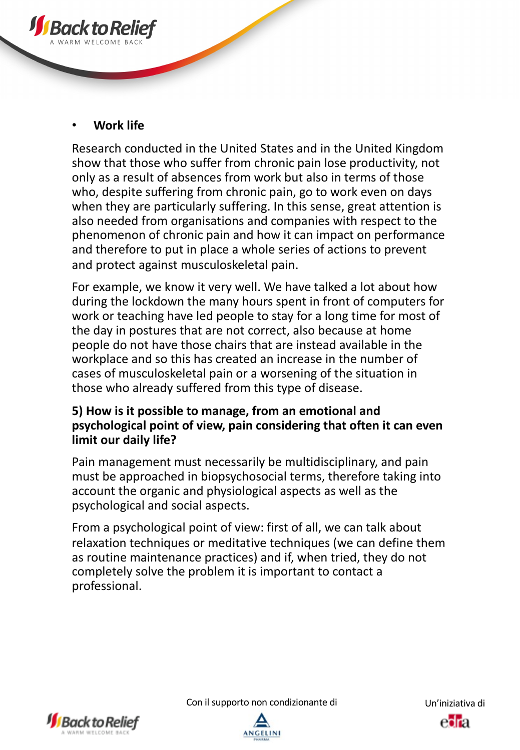

Research conducted in the United States and in the United Kingdom show that those who suffer from chronic pain lose productivity, not only as a result of absences from work but also in terms of those who, despite suffering from chronic pain, go to work even on days when they are particularly suffering. In this sense, great attention is also needed from organisations and companies with respect to the phenomenon of chronic pain and how it can impact on performance and therefore to put in place a whole series of actions to prevent and protect against musculoskeletal pain.

For example, we know it very well. We have talked a lot about how during the lockdown the many hours spent in front of computers for work or teaching have led people to stay for a long time for most of the day in postures that are not correct, also because at home people do not have those chairs that are instead available in the workplace and so this has created an increase in the number of cases of musculoskeletal pain or a worsening of the situation in those who already suffered from this type of disease.

### **5) How is it possible to manage, from an emotional and psychological point of view, pain considering that often it can even limit our daily life?**

Pain management must necessarily be multidisciplinary, and pain must be approached in biopsychosocial terms, therefore taking into account the organic and physiological aspects as well as the psychological and social aspects.

From a psychological point of view: first of all, we can talk about relaxation techniques or meditative techniques (we can define them as routine maintenance practices) and if, when tried, they do not completely solve the problem it is important to contact a professional.



Con il supporto non condizionante di Un'iniziativa di





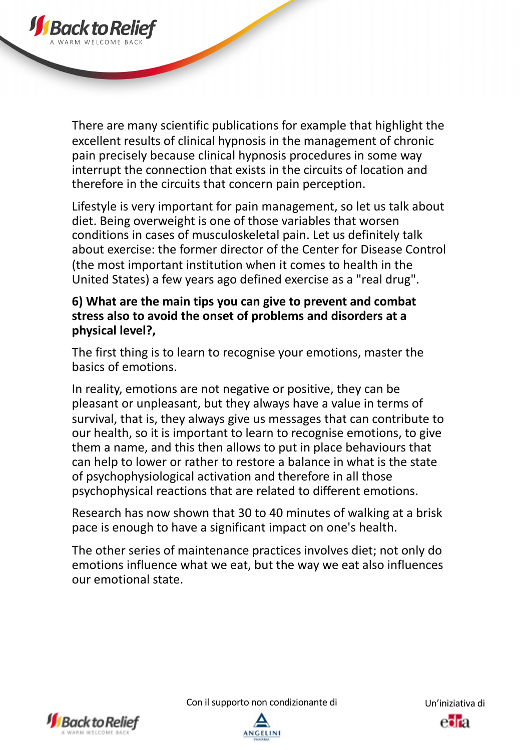

There are many scientific publications for example that highlight the excellent results of clinical hypnosis in the management of chronic pain precisely because clinical hypnosis procedures in some way interrupt the connection that exists in the circuits of location and therefore in the circuits that concern pain perception.

Lifestyle is very important for pain management, so let us talk about diet. Being overweight is one of those variables that worsen conditions in cases of musculoskeletal pain. Let us definitely talk about exercise: the former director of the Center for Disease Control (the most important institution when it comes to health in the United States) a few years ago defined exercise as a "real drug".

### **6) What are the main tips you can give to prevent and combat stress also to avoid the onset of problems and disorders at a physical level?,**

The first thing is to learn to recognise your emotions, master the basics of emotions.

In reality, emotions are not negative or positive, they can be pleasant or unpleasant, but they always have a value in terms of survival, that is, they always give us messages that can contribute to our health, so it is important to learn to recognise emotions, to give them a name, and this then allows to put in place behaviours that can help to lower or rather to restore a balance in what is the state of psychophysiological activation and therefore in all those psychophysical reactions that are related to different emotions.

Research has now shown that 30 to 40 minutes of walking at a brisk pace is enough to have a significant impact on one's health.

The other series of maintenance practices involves diet; not only do emotions influence what we eat, but the way we eat also influences our emotional state.



Con il supporto non condizionante di Un'iniziativa di



esta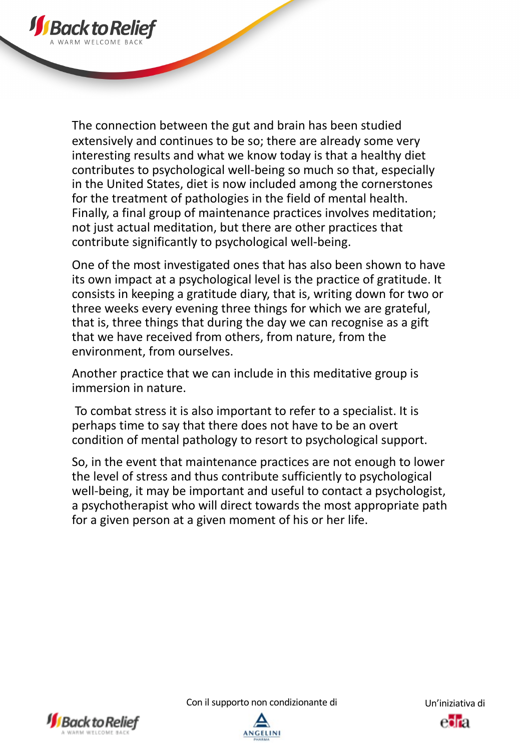

The connection between the gut and brain has been studied extensively and continues to be so; there are already some very interesting results and what we know today is that a healthy diet contributes to psychological well-being so much so that, especially in the United States, diet is now included among the cornerstones for the treatment of pathologies in the field of mental health. Finally, a final group of maintenance practices involves meditation; not just actual meditation, but there are other practices that contribute significantly to psychological well-being.

One of the most investigated ones that has also been shown to have its own impact at a psychological level is the practice of gratitude. It consists in keeping a gratitude diary, that is, writing down for two or three weeks every evening three things for which we are grateful, that is, three things that during the day we can recognise as a gift that we have received from others, from nature, from the environment, from ourselves.

Another practice that we can include in this meditative group is immersion in nature.

To combat stress it is also important to refer to a specialist. It is perhaps time to say that there does not have to be an overt condition of mental pathology to resort to psychological support.

So, in the event that maintenance practices are not enough to lower the level of stress and thus contribute sufficiently to psychological well-being, it may be important and useful to contact a psychologist, a psychotherapist who will direct towards the most appropriate path for a given person at a given moment of his or her life.



Con il supporto non condizionante di Un'iniziativa di